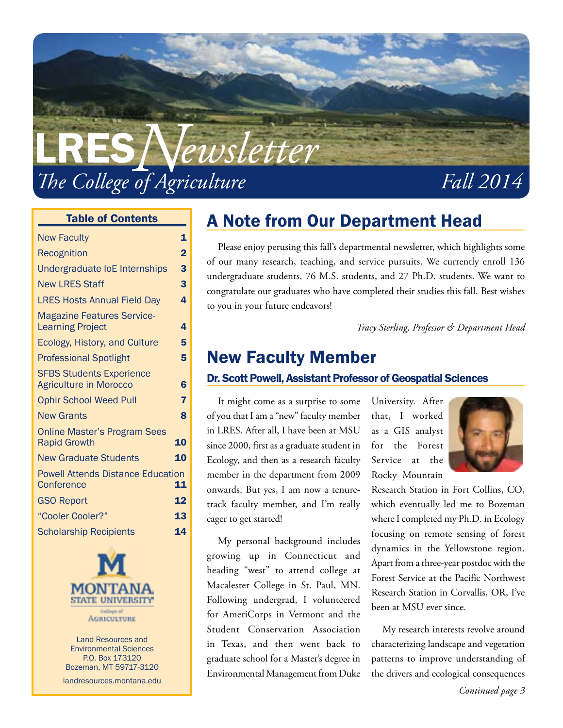

#### Table of Contents

| <b>New Faculty</b>                                               | 1              |
|------------------------------------------------------------------|----------------|
| Recognition                                                      | $\overline{2}$ |
| Undergraduate loE Internships                                    | 3              |
| <b>New LRES Staff</b>                                            | 3              |
| <b>LRES Hosts Annual Field Day</b>                               | 4              |
| <b>Magazine Features Service-</b><br><b>Learning Project</b>     | 4              |
| Ecology, History, and Culture                                    | 5              |
| <b>Professional Spotlight</b>                                    | 5              |
| <b>SFBS Students Experience</b><br><b>Agriculture in Morocco</b> | 6              |
| <b>Ophir School Weed Pull</b>                                    | 7              |
| <b>New Grants</b>                                                | 8              |
| <b>Online Master's Program Sees</b><br><b>Rapid Growth</b>       | 10             |
| <b>New Graduate Students</b>                                     | 10             |
| <b>Powell Attends Distance Education</b><br>Conference           | 11             |
| <b>GSO Report</b>                                                | 12             |
| "Cooler Cooler?"                                                 | 13             |
| <b>Scholarship Recipients</b>                                    | 14             |
|                                                                  |                |



Land Resources and Environmental Sciences P.O. Box 173120 Bozeman, MT 59717-3120

landresources.montana.edu

### A Note from Our Department Head

Please enjoy perusing this fall's departmental newsletter, which highlights some of our many research, teaching, and service pursuits. We currently enroll 136 undergraduate students, 76 M.S. students, and 27 Ph.D. students. We want to congratulate our graduates who have completed their studies this fall. Best wishes to you in your future endeavors!

*Tracy Sterling, Professor & Department Head*

### New Faculty Member

#### Dr. Scott Powell, Assistant Professor of Geospatial Sciences

It might come as a surprise to some of you that I am a "new" faculty member in LRES. After all, I have been at MSU since 2000, first as a graduate student in Ecology, and then as a research faculty member in the department from 2009 onwards. But yes, I am now a tenuretrack faculty member, and I'm really eager to get started!

My personal background includes growing up in Connecticut and heading "west" to attend college at Macalester College in St. Paul, MN. Following undergrad, I volunteered for AmeriCorps in Vermont and the Student Conservation Association in Texas, and then went back to graduate school for a Master's degree in Environmental Management from Duke

University. After that, I worked as a GIS analyst for the Forest Service at the Rocky Mountain



Research Station in Fort Collins, CO, which eventually led me to Bozeman where I completed my Ph.D. in Ecology focusing on remote sensing of forest dynamics in the Yellowstone region. Apart from a three-year postdoc with the Forest Service at the Pacific Northwest Research Station in Corvallis, OR, I've been at MSU ever since.

My research interests revolve around characterizing landscape and vegetation patterns to improve understanding of the drivers and ecological consequences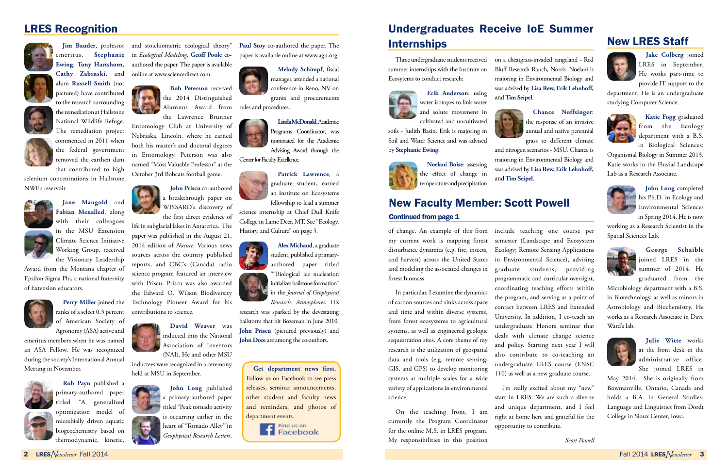of change. An example of this from my current work is mapping forest disturbance dynamics (e.g. fire, insects, and harvest) across the United States and modeling the associated changes in forest biomass.

In particular, I examine the dynamics of carbon sources and sinks across space and time and within diverse systems, from forest ecosystems to agricultural systems, as well as engineered geologic sequestration sites. A core theme of my research is the utilization of geospatial data and tools (e.g. remote sensing, GIS, and GPS) to develop monitoring systems at multiple scales for a wide variety of applications in environmental science.

On the teaching front, I am currently the Program Coordinator for the online M.S. in LRES program. My responsibilities in this position

I'm really excited about my "new" start in LRES. We are such a diverse and unique department, and I feel right at home here and grateful for the opportunity to contribute.

include teaching one course per semester (Landscape and Ecosystem Ecology; Remote Sensing Applications in Environmental Science), advising graduate students, providing programmatic and curricular oversight, coordinating teaching efforts within the program, and serving as a point of contact between LRES and Extended University. In addition, I co-teach an undergraduate Honors seminar that deals with climate change science and policy. Starting next year I will also contribute to co-teaching an undergraduate LRES course (ENSC 110) as well as a new graduate course.

*Scott Powell*

### LRES Recognition







National Wildlife Refuge.

The remediation project commenced in 2011 when the federal government removed the earthen dam

that contributed to high

selenium concentrations in Hailstone NWF's reservoir



**Jane Mangold** and

**Fabian Menalled**, along with their colleagues in the MSU Extension Climate Science Initiative Working Group, received the Visionary Leadership

**Jim Bauder**, professor and stoichiometric ecological theory" emeritus, **Stephanie**  in *Ecological Modeling*. **Geoff Poole** co-**Ewing**, **Tony Hartshorn**, **Cathy Zabinski**, and authored the paper. The paper is available online at www.sciencedirect.com.

Award from the Montana chapter of Epsilon Sigma Phi, a national fraternity of Extension educators.



ranks of a select 0.3 percent of American Society of Agronomy (ASA) active and

research was sparked by the devestating hailstorm that hit Bozeman in June 2010. **John Priscu** (pictured previously) and **John Dore** are among the co-authors.

emeritus members when he was named an ASA Fellow. He was recognized during the society's International Annual Meeting in November.



### Undergraduates Receive IoE Summer **Internships**

**Rob Payn** published a primary-authored paper titled "A generalized optimization model of microbially driven aquatic biogeochemistry based on thermodynamic, kinetic,

**Bob Peterson** received the 2014 Distinguished Alumnus Award from the Lawrence Brunner

**Perry Miller** joined the Technology Pioneer Award for his life in subglacial lakes in Antarctica. The paper was published in the August 21, 2014 edition of *Nature*. Various news sources across the country published reports, and CBC's (Canada) radio science program featured an interview with Priscu. Priscu was also awarded the Edward O. Wilson Biodiversity contributions to science.

Entomology Club at University of Nebraska, Lincoln, where he earned both his master's and doctoral degrees in Entomology. Peterson was also named "Most Valuable Professor" at the October 3rd Bobcats football game.

> **John Priscu** co-authored a breakthrough paper on WISSARD's discovery of the first direct evidence of



(NAI). He and other MSU inductees were recognized in a ceremony held at MSU in September.

> **John Long** published a primary-authored paper titled "Peak tornado activity is occurring earlier in the

heart of 'Tornado Alley'"in *Geophysical Research Letters*.

**Paul Stoy** co-authored the paper. The paper is available online at www.agu.org.



**Melody Schimpf**, fiscal manager, attended a national conference in Reno, NV on grants and procurements

rules and procedures.



Advising Award through the

Center for Faculty Excellence.

### **Patrick Lawrence**, a graduate student, earned an Institute on Ecosystems

fellowship to lead a summer science internship at Chief Dull Knife

College in Lame Deer, MT. See "Ecology, History, and Culture" on page 5.

> **Alex Michaud**, a graduate student, published a primaryauthored paper titled ""Biological ice nucleation initializes hailstone formation" in the *Journal of Geophysical Research: Atmospheres*. His

**Get department news first.**  Follow us on Facebook to see press releases, seminar announcements, other student and faculty news and reminders, and photos of department events.

> Find us on Facebook

### New Faculty Member: Scott Powell Continued from page 1

Three undergraduate students received summer internships with the Institute on Ecosytems to conduct research:



**Erik Anderson**: using water isotopes to link water and solute movement in cultivated and uncultivated

soils - Judith Basin. Erik is majoring in Soil and Water Science and was advised by **Stephanie Ewing**.



**Noelani Boise**: assessing the effect of change in temperature and precipitation on a cheatgrass-invaded rangeland - Red Bluff Research Ranch, Norris. Noelani is majoring in Environmental Biology and was advised by **Lisa Rew, Erik Lehnhoff,** 

and **Tim Seipel**.

**Chance Noffsinger**: the response of an invasive annual and native perennial grass to different climate and nitrogen scenarios - MSU. Chance is majoring in Environmental Biology and was advised by **Lisa Rew, Erik Lehnhoff,** 

and **Tim Seipel**.

### New LRES Staff



**Jake Colberg** joined LRES in September. He works part-time to provide IT support to the

department. He is an undergraduate studying Computer Science.



**Katie Fogg** graduated from the Ecology department with a B.S. in Biological Sciences:

Organismal Biology in Summer 2013. Katie works in the Fluvial Landscape Lab as a Research Associate.



**John Long** completed his Ph.D. in Ecology and Environmental Sciences in Spring 2014. He is now

working as a Research Scientist in the Spatial Sciences Lab.



**George Schaible**  joined LRES in the summer of 2014. He graduated from the

Microbiology department with a B.S. in Biotechnology, as well as minors in Astrobiology and Biochemistry. He works as a Research Associate in Dave Ward's lab.



**Julie Witte** works at the front desk in the administrative office. She joined LRES in

May 2014. She is originally from Bowmanville, Ontario, Canada and holds a B.A. in General Studies: Language and Linguistics from Dordt College in Sioux Center, Iowa.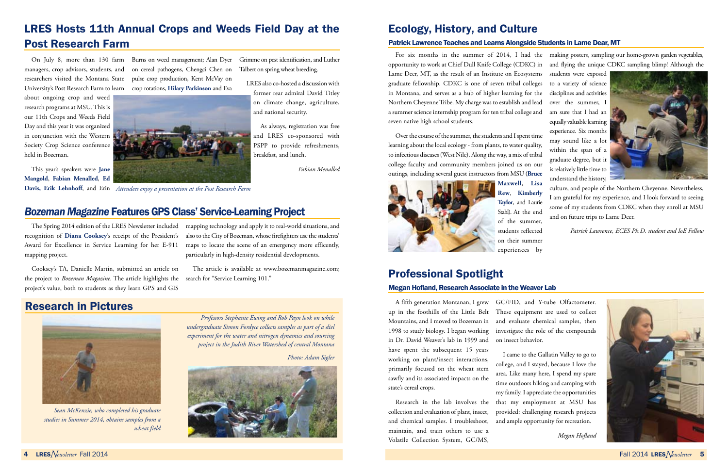## LRES Hosts 11th Annual Crops and Weeds Field Day at the Post Research Farm

about ongoing crop and weed research programs at MSU. This is our 11th Crops and Weeds Field Day and this year it was organized in conjunction with the Western Society Crop Science conference held in Bozeman.

On July 8, more than 130 farm Burns on weed management; Alan Dyer University's Post Research Farm to learn crop rotations, **Hilary Parkinson** and Eva

managers, crop advisors, students, and on cereal pathogens, Chengci Chen on researchers visited the Montana State pulse crop production, Kent McVay on Grimme on pest identification, and Luther

This year's speakers were **Jane Mangold**, **Fabian Menalled**, **Ed** 

Talbert on spring wheat breeding.

LRES also co-hosted a discussion with

**Davis, Erik Lehnhoff**, and Erin *Attendees enjoy a presentation at the Post Research Farm*



As always, registration was free

*Fabian Menalled*

### *Bozeman Magazine* Features GPS Class' Service-Learning Project

The Spring 2014 edition of the LRES Newsletter included recognition of **Diana Cooksey**'s receipt of the President's Award for Excellence in Service Learning for her E-911 maps to locate the scene of an emergency more efficently, mapping project.

Cooksey's TA, Danielle Martin, submitted an article on the project to *Bozeman Magazine*. The article highlights the project's value, both to students as they learn GPS and GIS

mapping technology and apply it to real-world situations, and also to the City of Bozeman, whose firefighters use the students' particularly in high-density residential developments.

The article is available at www.bozemanmagazine.com; search for "Service Learning 101."

### Research in Pictures



*Sean McKenzie, who completed his graduate studies in Summer 2014, obtains samples from a wheat field*

*Professors Stephanie Ewing and Rob Payn look on while undergraduate Simon Fordyce collects samples as part of a diel experiment for the water and nitrogen dynamics and sourcing project in the Judith River Watershed of central Montana* 

*Photo: Adam Sigler*



## Ecology, History, and Culture

#### Patrick Lawrence Teaches and Learns Alongside Students in Lame Dear, MT

For six months in the summer of 2014, I had the making posters, sampling our home-grown garden vegetables, opportunity to work at Chief Dull Knife College (CDKC) in and flying the unique CDKC sampling blimp! Although the Lame Deer, MT, as the result of an Institute on Ecosystems graduate fellowship. CDKC is one of seven tribal colleges in Montana, and serves as a hub of higher learning for the Northern Cheyenne Tribe. My charge was to establish and lead a summer science internship program for ten tribal college and seven native high school students. Over the course of the summer, the students and I spent time learning about the local ecology - from plants, to water quality, to infectious diseases (West Nile). Along the way, a mix of tribal college faculty and community members joined us on our outings, including several guest instructors from MSU (**Bruce**  students were exposed to a variety of science disciplines and activities over the summer, I am sure that I had an equally valuable learning experience. Six months may sound like a lot within the span of a graduate degree, but it is relatively little time to understand the history,



**Maxwell**, **Lisa Rew**, **Kimberly Taylor**, and Laurie Stahl). At the end of the summer, students reflected on their summer experiences by

culture, and people of the Northern Cheyenne. Nevertheless, I am grateful for my experience, and I look forward to seeing some of my students from CDKC when they enroll at MSU and on future trips to Lame Deer.

*Patrick Lawrence, ECES Ph.D. student and IoE Fellow*

## Professional Spotlight

#### Megan Hofland, Research Associate in the Weaver Lab

in Dr. David Weaver's lab in 1999 and have spent the subsequent 15 years working on plant/insect interactions, primarily focused on the wheat stem sawfly and its associated impacts on the state's cereal crops.

A fifth generation Montanan, I grew GC/FID, and Y-tube Olfactometer. up in the foothills of the Little Belt These equipment are used to collect Mountains, and I moved to Bozeman in and evaluate chemical samples, then 1998 to study biology. I began working investigate the role of the compounds on insect behavior.

Research in the lab involves the collection and evaluation of plant, insect, and chemical samples. I troubleshoot, and ample opportunity for recreation. maintain, and train others to use a Volatile Collection System, GC/MS,

I came to the Gallatin Valley to go to college, and I stayed, because I love the area. Like many here, I spend my spare time outdoors hiking and camping with my family. I appreciate the opportunities that my employment at MSU has provided: challenging research projects

*Megan Hofland* 

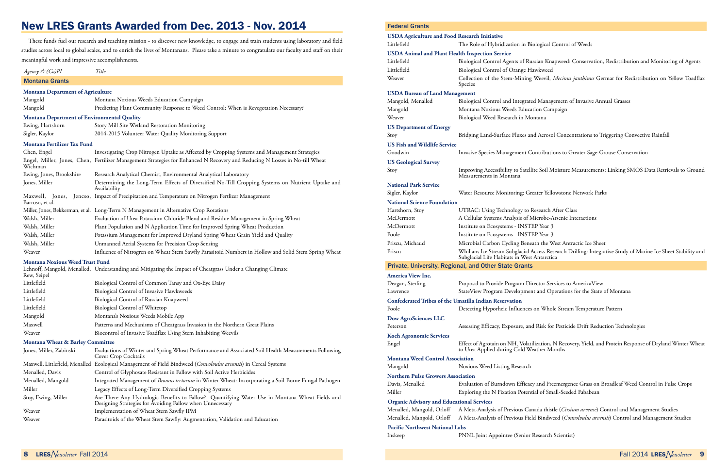### New LRES Grants Awarded from Dec. 2013 - Nov. 2014

These funds fuel our research and teaching mission - to discover new knowledge, to engage and train students using laboratory and field studies across local to global scales, and to enrich the lives of Montanans. Please take a minute to congratulate our faculty and staff on their meaningful work and impressive accomplishments.

| Mangold          | Predicting Plant Community Response to Weed Control: When is Revegetation Necessary? |
|------------------|--------------------------------------------------------------------------------------|
|                  | <b>Montana Department of Environmental Quality</b>                                   |
| Ewing, Hartshorn | Story Mill Site Wetland Restoration Monitoring                                       |
| Sigler, Kaylor   | 2014-2015 Volunteer Water Quality Monitoring Support                                 |

*Agency & (Co)PI Title*

#### Montana Grants

#### **Montana Department of Agriculture** Mangold Montana Noxious Weeds Education Campaign

#### **Montana Fertilizer Tax Fund**

| Chen, Engel                            | Investigating Crop Nitrogen Uptake as Affected by Cropping Systems and Management Strategies                                |  |  |  |
|----------------------------------------|-----------------------------------------------------------------------------------------------------------------------------|--|--|--|
| Wichman                                | Engel, Miller, Jones, Chen, Fertilizer Management Strategies for Enhanced N Recovery and Reducing N Losses in No-till Wheat |  |  |  |
| Ewing, Jones, Brookshire               | Research Analytical Chemist, Environmental Analytical Laboratory                                                            |  |  |  |
| Jones, Miller                          | Determining the Long-Term Effects of Diversified No-Till Cropping Systems on Nutrient Uptake and<br>Availability            |  |  |  |
| Barroso, et al.                        | Maxwell, Jones, Jencso, Impact of Precipitation and Temperature on Nitrogen Fertlizer Management                            |  |  |  |
|                                        | Miller, Jones, Bekkerman, et al. Long-Term N Management in Alternative Crop Rotations                                       |  |  |  |
| Walsh, Miller                          | Evaluation of Urea-Potassium Chloride Blend and Residue Management in Spring Wheat                                          |  |  |  |
| Walsh, Miller                          | Plant Population and N Application Time for Improved Spring Wheat Production                                                |  |  |  |
| Walsh, Miller                          | Potassium Management for Improved Dryland Spring Wheat Grain Yield and Quality                                              |  |  |  |
| Walsh, Miller                          | Unmanned Aerial Systems for Precision Crop Sensing                                                                          |  |  |  |
| Weaver                                 | Influence of Nitrogren on Wheat Stem Sawfly Parasitoid Numbers in Hollow and Solid Stem Spring Wheat                        |  |  |  |
| <b>Montana Noxious Weed Trust Fund</b> |                                                                                                                             |  |  |  |
| Rew, Seipel                            | Lehnoff, Mangold, Menalled, Understanding and Mitigating the Impact of Cheatgrass Under a Changing Climate                  |  |  |  |
| Littlefield                            | Biological Control of Common Tansy and Ox-Eye Daisy                                                                         |  |  |  |
| Littlefield                            | Biological Control of Invasive Hawkweeds                                                                                    |  |  |  |

| Littlefield | Biological Control of Russian Knapweed                                      |
|-------------|-----------------------------------------------------------------------------|
| Littlefield | Biological Control of Whitetop                                              |
| Mangold     | Montana's Noxious Weeds Mobile App                                          |
| Maxwell     | Patterns and Mechanisms of Cheatgrass Invasion in the Northern Great Plains |
| Weaver      | Biocontrol of Invasive Toadflax Using Stem Inhabiting Weevils               |

**Montana Wheat & Barley Committee**

| Jones, Miller, Zabinski | Evaluations of Winter and Spring Wheat Performance and Associated Soil Health Measurements Following<br>Cover Crop Cocktails                                |  |  |
|-------------------------|-------------------------------------------------------------------------------------------------------------------------------------------------------------|--|--|
|                         | Maxwell, Littlefield, Menalled Ecological Management of Field Bindweed (Convolvulus arvensis) in Cereal Systems                                             |  |  |
| Menalled, Davis         | Control of Glyphosate Resistant in Fallow with Soil Active Herbicides                                                                                       |  |  |
| Menalled, Mangold       | Integrated Management of Bromus tectorum in Winter Wheat: Incorporating a Soil-Borne Fungal Pathogen                                                        |  |  |
| Miller                  | Legacy Effects of Long-Term Diversified Cropping Systems                                                                                                    |  |  |
| Stoy, Ewing, Miller     | Are There Any Hydrologic Benefits to Fallow? Quantifying Water Use in Montana Wheat Fields and<br>Designing Strategies for Avoiding Fallow when Unnecessary |  |  |
| Weaver                  | Implementation of Wheat Stem Sawfly IPM                                                                                                                     |  |  |
| Weaver                  | Parasitoids of the Wheat Stem Sawfly: Augmentation, Validation and Education                                                                                |  |  |

#### Federal Grants

| <b>USDA Agriculture and Food Research Initiative</b><br>Littlefield | The Role of Hybridization in Biological G                                                                                          |
|---------------------------------------------------------------------|------------------------------------------------------------------------------------------------------------------------------------|
| <b>USDA Animal and Plant Health Inspection Service</b>              |                                                                                                                                    |
| Littlefield                                                         | Biological Control Agents of Russian Kna                                                                                           |
| Littlefield                                                         | Biological Control of Orange Hawkweed                                                                                              |
| Weaver                                                              | Collection of the Stem-Mining Weevil,<br>Species                                                                                   |
| <b>USDA Bureau of Land Management</b>                               |                                                                                                                                    |
| Mangold, Menalled                                                   | Biological Control and Integrated Manag                                                                                            |
| Mangold                                                             | Montana Noxious Weeds Education Can                                                                                                |
| Weaver                                                              | Biological Weed Research in Montana                                                                                                |
| <b>US Department of Energy</b>                                      |                                                                                                                                    |
| Stoy                                                                | Bridging Land-Surface Fluxes and Aeroso                                                                                            |
| <b>US Fish and Wildlife Service</b>                                 |                                                                                                                                    |
| Goodwin                                                             | Invasive Species Management Contributi                                                                                             |
| <b>US Geological Survey</b>                                         |                                                                                                                                    |
| Stoy                                                                | Improving Accessibility to Satellite Soil M<br>Measurements in Montana                                                             |
| <b>National Park Service</b>                                        |                                                                                                                                    |
| Sigler, Kaylor                                                      | Water Resource Monitoring: Greater Yell                                                                                            |
| <b>National Science Foundation</b>                                  |                                                                                                                                    |
| Hartshorn, Stoy                                                     | UTRAC: Using Technology to Research .                                                                                              |
| McDermott                                                           | A Cellular Systems Analysis of Microbe-A                                                                                           |
| McDermott                                                           | Institute on Ecosystems - INSTEP Year 3                                                                                            |
| Poole                                                               | Institute on Ecosystems - INSTEP Year 3                                                                                            |
| Priscu, Michaud<br>Priscu                                           | Microbial Carbon Cycling Beneath the W<br>Whillans Ice Stream Subglacial Access Rea<br>Subglacial Life Habitats in West Antarction |
|                                                                     | <b>Private, University, Regional, and Other State Grants</b>                                                                       |
| <b>America View Inc.</b>                                            |                                                                                                                                    |
| Deagan, Sterling                                                    | Proposal to Provide Program Director Ser                                                                                           |
| Lawrence                                                            | StateView Program Development and Op                                                                                               |
|                                                                     | <b>Confederated Tribes of the Umatilla Indian Reservation</b>                                                                      |
| Poole                                                               | Detecting Hyporheic Influences on Who!                                                                                             |
| <b>Dow AgroSciences LLC</b>                                         |                                                                                                                                    |
| Peterson                                                            | Assessing Efficacy, Exposure, and Risk for                                                                                         |
| <b>Koch Agronomic Services</b>                                      |                                                                                                                                    |
| Engel                                                               | Effect of Agrotain on NH <sub>3</sub> Volatilization,<br>to Urea Applied during Cold Weather Mo                                    |
| <b>Montana Weed Control Association</b>                             |                                                                                                                                    |
| Mangold                                                             | Noxious Weed Listing Research                                                                                                      |
| <b>Northern Pulse Growers Association</b>                           |                                                                                                                                    |
| Davis, Menalled                                                     | Evaluation of Burndown Efficacy and Pre                                                                                            |
| Miller                                                              | Exploring the N Fixation Potential of Sm                                                                                           |
| <b>Organic Advisory and Educational Services</b>                    |                                                                                                                                    |
| Menalled, Mangold, Orloff                                           | A Meta-Analysis of Previous Canada thist                                                                                           |
| Menalled, Mangold, Orloff                                           | A Meta-Analysis of Previous Field Bindwe                                                                                           |
| <b>Pacific Northwest National Labs</b>                              |                                                                                                                                    |
| Inskeep                                                             | PNNL Joint Appointee (Senior Research                                                                                              |

logical Control of Weeds

sian Knapweed: Conservation, Redistribution and Monitoring of Agents Weevil, *Mecinus janthinus* Germar for Redistribution on Yellow Toadflax

Managemetn of Invasive Annual Grasses on Campaign

I Aerosol Concentrations to Triggering Convective Rainfall

ntributions to Greater Sage-Grouse Conservation

e Soil Moisture Measurements: Linking SMOS Data Retrievals to Ground

ater Yellowstone Network Parks

esearch After Class icrobe-Arsenic Interactions th the West Antractic Ice Sheet ccess Research Drilling: Integrative Study of Marine Ice Sheet Stability and Antarctica

ector Services to AmericaView and Operations for the State of Montana

on Whole Stream Temperature Pattern

Risk for Pesticide Drift Reduction Technologies

ization, N Recovery, Yield, and Protein Response of Dryland Winter Wheat ther Months

and Preemergence Grass on Broadleaf Weed Control in Pulse Crops al of Small-Seeded Fababean

ada thistle (*Cirsium arvense*) Control and Management Studies Menalled (*Convolvulus arvensis*) Control and Management Studies

esearch Scientist)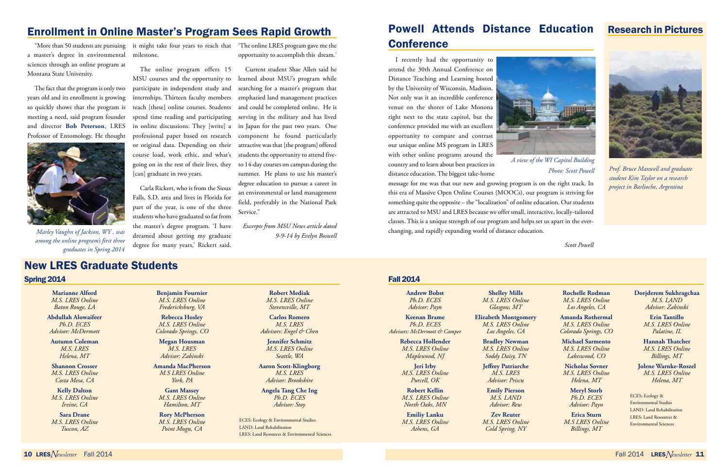Research in Pictures

#### Fall 2014

**Andrew Bobst** *Ph.D. ECES Advisor: Payn*

**Keenan Brame** *Ph.D. ECES Advisors: McDermott & Camper* **Rebecca Hollender** *M.S. LRES Online Maplewood, NJ* **Jeri Irby** *M.S. LRES Online Purcell, OK* **Robert Kellin** *M.S. LRES Online North Oaks, MN* **Emiliy Lanku** *M.S. LRES Online Athens, GA*

**Shelley Mills** *M.S. LRES Online Glasgow, MT*

**Elizabeth Montgomery** *M.S. LRES Online Los Angeles, CA*

**Bradley Newman** *M.S. LRES Online Soddy Daisy, TN*

**Jeffrey Patriarche** *M.S. LRES Advisor: Priscu*

**Emily Pierson** *M.S. LAND Advisor: Rew*

**Zev Reuter** *M.S. LRES Online Cold Spring, NY*

**Rochelle Rodman** *M.S. LRES Online Los Angeles, CA*

**Amanda Rothermal** *M.S. LRES Online Colorado Springs, CO*

**Michael Sarmento** *M.S. LRES Online Lakeswood, CO*

**Nicholas Sovner** *M.S. LRES Online Helena, MT*

> **Meryl Storb** *Ph.D. ECES Advisor: Payn*

**Erica Sturn** *M.S LRES Online Billings, MT*

**Dorjderem Sukhragchaa** *M.S. LAND Advisor: Zabinski*

> **Erin Tantillo** *M.S. LRES Online Palatine, IL*

**Hannah Thatcher** *M.S. LRES Online Billings, MT*

**Jolene Warnke-Roszel** *M.S. LRES Online Helena, MT*

### Powell Attends Distance Education **Conference**

ECES: Ecology & Environmental Studies LAND: Land Rehabilitation LRES: Land Resources & Environmental Sciences

#### Spring 2014

**Marianne Alford** *M.S. LRES Online Baton Rouge, LA*

**Abdullah Alowaifeer** *Ph.D. ECES Advisor: McDermott*

**Autumn Coleman** *M.S. LRES Helena, MT*

**Shannon Crosser** *M.S. LRES Online Costa Mesa, CA*

**Kelly Dalton** *M.S. LRES Online Irvine, CA*

**Sara Drane** *M.S. LRES Online Tuscon, AZ*

**Benjamin Fournier** *M.S. LRES Online Fredericksburg, VA*

**Rebecca Hosley** *M.S. LRES Online Colorado Springs, CO*

**Megan Housman** *M.S. LRES Advisor: Zabinski*

**Amanda MacPherson** *M.S LRES Online York, PA*

**Gant Massey** *M.S. LRES Online Hamilton, MT*

**Rory McPherson** *M.S. LRES Online Point Mugu, CA*

**Robert Mediak** *M.S. LRES Online Stevensville, MT*

**Carlos Romero** *M.S. LRES Advisors: Engel & Chen*

**Jennifer Schmitz** *M.S. LRES Online Seattle, WA*

**Aaron Scott-Klingborg** *M.S. LRES Advisor: Brookshire*

**Angela Tang Che Ing** *Ph.D. ECES Advisor: Stoy*

ECES: Ecology & Environmental Studies LAND: Land Rehabilitation LRES: Land Resources & Environmental Sciences

### New LRES Graduate Students

Current student Shae Allen said he learned about MSU's program while searching for a master's program that and could be completed online. He is serving in the military and has lived in Japan for the past two years. One component he found particularly students the opportunity to attend fiveto 14-day courses on campus during the summer. He plans to use his master's degree education to pursue a career in an environmental or land management field, preferably in the National Park Service.'

I recently had the opportunity to attend the 30th Annual Conference on Distance Teaching and Learning hosted by the University of Wisconsin, Madison. Not only was it an incredible conference venue on the shores of Lake Monona right next to the state capitol, but the conference provided me with an excellent opportunity to compare and contrast our unique online MS program in LRES with other online programs around the country and to learn about best practices in distance education. The biggest take-home



message for me was that our new and growing program is on the right track. In this era of Massive Open Online Courses (MOOCs), our program is striving for something quite the opposite – the "localization" of online education. Our students are attracted to MSU and LRES because we offer small, interactive, locally-tailored classes. This is a unique strength of our program and helps set us apart in the everchanging, and rapidly expanding world of distance education.

*Scott Powell*

*A view of the WI Capitol Building Photo: Scott Powell*

### Enrollment in Online Master's Program Sees Rapid Growth

"More than 50 students are pursuing a master's degree in environmental sciences through an online program at Montana State University.

The fact that the program is only two years old and its enrollment is growing so quickly shows that the program is meeting a need, said program founder and director **Bob Peterson**, LRES Professor of Entomology. He thought



milestone.

The online program offers 15 MSU courses and the opportunity to participate in independent study and internships. Thirteen faculty members emphazied land management practices teach [these] online courses. Students spend time reading and participating in online discussions. They [write] a professional paper based on research or original data. Depending on their attractive was that [the program] offered course load, work ethic, and what's going on in the rest of their lives, they [can] graduate in two years.

it might take four years to reach that 'The online LRES program gave me the opportunity to accomplish this dream.'

Carla Rickert, who is from the Sioux Falls, S.D. area and lives in Florida for part of the year, is one of the three students who have graduated so far from the master's degree program. 'I have dreamed about getting my graduate *9-9-14 by Evelyn Boswell Marley Vaughn of Jackson, WY , was*  degree for many years,' Rickert said.

*Excerpts from MSU News article dated* 

*among the online program's first three graduates in Spring 2014*



*Prof. Bruce Maxwell and graduate student Kim Taylor on a research project in Barlioche, Argentina*

<sup>10</sup> LRES*Newsletter* Fall 2014 Fall 2014 LRES*Newsletter* <sup>11</sup>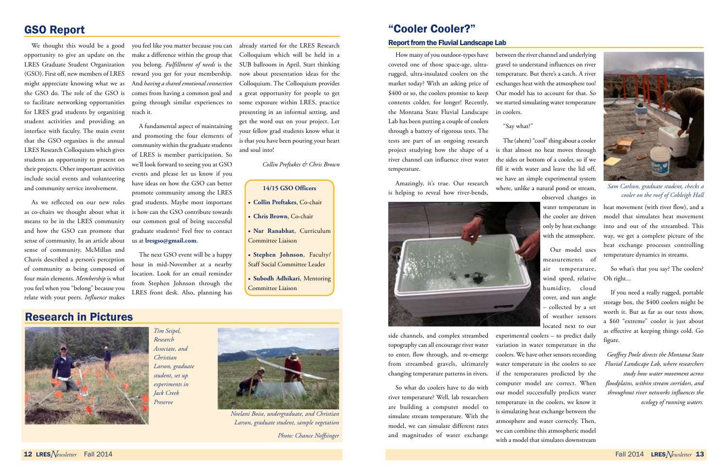### Research in Pictures



*Noelani Boise, undergraduate, and Christian Larson, graduate student, sample vegetation*

*Photo: Chance Noffsinger*

# "Cooler Cooler?"

#### Report from the Fluvial Landscape Lab

How many of you outdoor-types have coveted one of those space-age, ultrarugged, ultra-insulated coolers on the market today? With an asking price of \$400 or so, the coolers promise to keep contents colder, for longer! Recently, the Montana State Fluvial Landscape Lab has been putting a couple of coolers through a battery of rigorous tests. The tests are part of an ongoing research project studying how the shape of a river channel can influence river water temperature.

Amazingly, it's true. Our research is helping to reveal how river-bends,



side channels, and complex streambed topography can all encourage river water to enter, flow through, and re-emerge from streambed gravels, ultimately changing temperature patterns in rivers.

So what do coolers have to do with river temperature? Well, lab researchers are building a computer model to simulate stream temperature. With the model, we can simulate different rates and magnitudes of water exchange

between the river channel and underlying gravel to understand influences on river temperature. But there's a catch. A river exchanges heat with the atmosphere too! Our model has to account for that. So we started simulating water temperature

in coolers.

"Say what?"

The (ahem) "cool" thing about a cooler is that almost no heat moves through the sides or bottom of a cooler, so if we fill it with water and leave the lid off, we have an simple experimental system where, unlike a natural pond or stream, observed changes in

water temperature in the cooler are driven only by heat exchange with the atmosphere.

Our model uses measurements of air temperature, wind speed, relative humidity, cloud cover, and sun angle – collected by a set of weather sensors located next to our

experimental coolers – to predict daily variation in water temperature in the coolers. We have other sensors recording water temperature in the coolers to see if the temperatures predicted by the computer model are correct. When our model successfully predicts water temperature in the coolers, we know it is simulating heat exchange between the atmosphere and water correctly. Then, we can combine this atmospheric model with a model that simulates downstream

heat movement (with river flow), and a model that simulates heat movement into and out of the streambed. This way, we get a complete picture of the heat exchange processes controlling temperature dynamics in streams.

So what's that you say? The coolers? Oh right...

If you need a really rugged, portable storage box, the \$400 coolers might be worth it. But as far as our tests show, a \$60 "extreme" cooler is just about as effective at keeping things cold. Go figure.

*Geoffrey Poole directs the Montana State Fluvial Landscape Lab, where researchers study how water movement across floodplains, within stream corridors, and throughout river networks influences the ecology of running waters.*

### GSO Report

We thought this would be a good opportunity to give an update on the LRES Graduate Student Organization you belong. *Fulfillment of needs* is the (GSO). First off, new members of LRES might appreciate knowing what we as the GSO do. The role of the GSO is to facilitate networking opportunities for LRES grad students by organizing student activities and providing an interface with faculty. The main event that the GSO organizes is the annual LRES Research Colloquium which gives students an opportunity to present on their projects. Other important activities include social events and volunteering and community service involvement.

As we reflected on our new roles as co-chairs we thought about what it means to be in the LRES community and how the GSO can promote that sense of community. In an article about sense of community, McMillan and Chavis described a person's perception of community as being composed of four main elements. *Membership* is what you feel when you "belong" because you relate with your peers. *Influence* makes

you feel like you matter because you can make a difference within the group that reward you get for your membership. And *having a shared emotional connection*  comes from having a common goal and going through similar experiences to reach it.

A fundamental aspect of maintaining and promoting the four elements of community within the graduate students of LRES is member participation. So we'll look forward to seeing you at GSO events and please let us know if you have ideas on how the GSO can better promote community among the LRES grad students. Maybe most important is how can the GSO contribute towards our common goal of being successful graduate students? Feel free to contact us at **lresgso@gmail.com**.

The next GSO event will be a happy hour in mid-November at a nearby location. Look for an email reminder from Stephen Johnson through the LRES front desk. Also, planning has already started for the LRES Research Colloquium which will be held in a SUB ballroom in April. Start thinking now about presentation ideas for the Colloquium. The Colloquium provides a great opportunity for people to get some exposure within LRES, practice presenting in an informal setting, and get the word out on your project. Let your fellow grad students know what it is that you have been pouring your heart and soul into!

*Collin Preftakes & Chris Brown*

#### **14/15 GSO Officers**

- • **Collin Preftakes**, Co-chair
- **Chris Brown**, Co-chair
- • **Nar Ranabhat**, Curriculum Committee Liaison
- • **Stephen Johnson**, Faculty/ Staff Social Committee Leader
- • **Subodh Adhikari**, Mentoring Committee Liaison



*Sam Carlson, graduate student, checks a cooler on the roof of Cobleigh Hall*

*Tim Seipel,* 



*Research Associate, and Christian Larson, graduate student, set up experiments in Jack Creek Preserve*